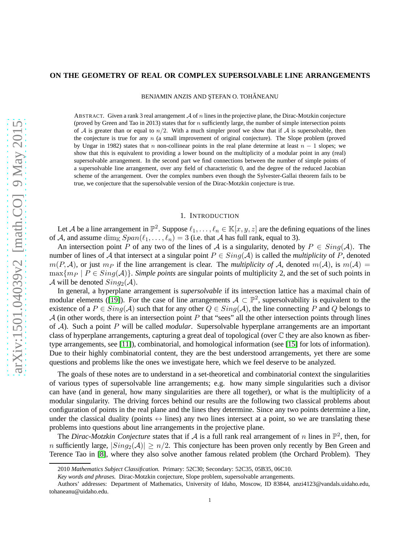#### **ON THE GEOMETRY OF REAL OR COMPLEX SUPERSOLVABLE LINE ARRANGEMENTS**

BENJAMIN ANZIS AND ŞTEFAN O. TOHĂNEANU

ABSTRACT. Given a rank 3 real arrangement  $\mathcal A$  of n lines in the projective plane, the Dirac-Motzkin conjecture (proved by Green and Tao in 2013) states that for  $n$  sufficiently large, the number of simple intersection points of A is greater than or equal to  $n/2$ . With a much simpler proof we show that if A is supersolvable, then the conjecture is true for any  $n$  (a small improvement of original conjecture). The Slope problem (proved by Ungar in 1982) states that n non-collinear points in the real plane determine at least  $n - 1$  slopes; we show that this is equivalent to providing a lower bound on the multiplicity of a modular point in any (real) supersolvable arrangement. In the second part we find connections between the number of simple points of a supersolvable line arrangement, over any field of characteristic 0, and the degree of the reduced Jacobian scheme of the arrangement. Over the complex numbers even though the Sylvester-Gallai theorem fails to be true, we conjecture that the supersolvable version of the Dirac-Motzkin conjecture is true.

### 1. INTRODUCTION

Let A be a line arrangement in  $\mathbb{P}^2$ . Suppose  $\ell_1, \ldots, \ell_n \in \mathbb{K}[x, y, z]$  are the defining equations of the lines of A, and assume  $\dim_{\mathbb{K}} Span(\ell_1, \ldots, \ell_n) = 3$  (i.e. that A has full rank, equal to 3).

An intersection point P of any two of the lines of A is a singularity, denoted by  $P \in Sing(\mathcal{A})$ . The number of lines of A that intersect at a singular point  $P \in Sing(A)$  is called the *multiplicity* of P, denoted  $m(P, A)$ , or just  $m_P$  if the line arrangement is clear. The *multiplicity of* A, denoted  $m(A)$ , is  $m(A)$  =  $\max\{m_P \mid P \in Sing(\mathcal{A})\}\$ . *Simple points* are singular points of multiplicity 2, and the set of such points in A will be denoted  $Sing_2(A)$ .

In general, a hyperplane arrangement is *supersolvable* if its intersection lattice has a maximal chain of modular elements ([\[19\]](#page-12-0)). For the case of line arrangements  $A \subset \mathbb{P}^2$ , supersolvability is equivalent to the existence of a  $P \in Sing(\mathcal{A})$  such that for any other  $Q \in Sing(\mathcal{A})$ , the line connecting P and Q belongs to  $A$  (in other words, there is an intersection point P that "sees" all the other intersection points through lines of A). Such a point P will be called *modular*. Supersolvable hyperplane arrangements are an important class of hyperplane arrangements, capturing a great deal of topological (over C they are also known as fibertype arrangements, see [\[11\]](#page-12-1)), combinatorial, and homological information (see [\[15\]](#page-12-2) for lots of information). Due to their highly combinatorial content, they are the best understood arrangements, yet there are some questions and problems like the ones we investigate here, which we feel deserve to be analyzed.

The goals of these notes are to understand in a set-theoretical and combinatorial context the singularities of various types of supersolvable line arrangements; e.g. how many simple singularities such a divisor can have (and in general, how many singularities are there all together), or what is the multiplicity of a modular singularity. The driving forces behind our results are the following two classical problems about configuration of points in the real plane and the lines they determine. Since any two points determine a line, under the classical duality (points  $\leftrightarrow$  lines) any two lines intersect at a point, so we are translating these problems into questions about line arrangements in the projective plane.

The *Dirac-Motzkin Conjecture* states that if A is a full rank real arrangement of n lines in  $\mathbb{P}^2$ , then, for n sufficiently large,  $|Sing_2(\mathcal{A})| \geq n/2$ . This conjecture has been proven only recently by Ben Green and Terence Tao in [\[8\]](#page-12-3), where they also solve another famous related problem (the Orchard Problem). They

<sup>2010</sup> *Mathematics Subject Classification.* Primary: 52C30; Secondary: 52C35, 05B35, 06C10.

*Key words and phrases.* Dirac-Motzkin conjecture, Slope problem, supersolvable arrangements.

Authors' addresses: Department of Mathematics, University of Idaho, Moscow, ID 83844, anzi4123@vandals.uidaho.edu, tohaneanu@uidaho.edu.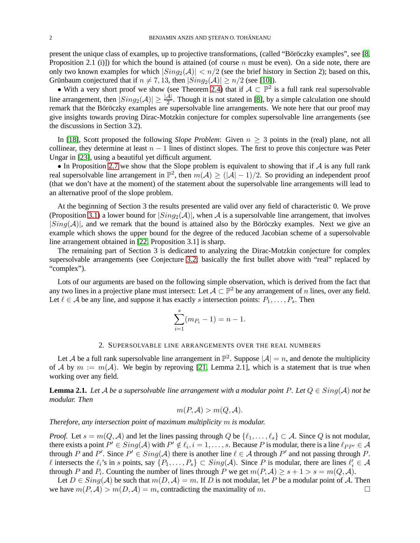present the unique class of examples, up to projective transformations, (called "Böröczky examples", see [\[8,](#page-12-3) Proposition 2.1 (i)]) for which the bound is attained (of course n must be even). On a side note, there are only two known examples for which  $|Sing_2(\mathcal{A})| < n/2$  (see the brief history in Section 2); based on this, Grünbaum conjectured that if  $n \neq 7, 13$ , then  $|Sing_2(\mathcal{A})| \geq n/2$  (see [\[10\]](#page-12-4)).

• With a very short proof we show (see Theorem [2.4\)](#page-2-0) that if  $A \subset \mathbb{P}^2$  is a full rank real supersolvable line arrangement, then  $|Sing_2(\mathcal{A})| \geq \frac{|\mathcal{A}|}{2}$ . Though it is not stated in [\[8\]](#page-12-3), by a simple calculation one should remark that the Böröczky examples are supersolvable line arrangements. We note here that our proof may give insights towards proving Dirac-Motzkin conjecture for complex supersolvable line arrangements (see the discussions in Section 3.2).

In [\[18\]](#page-12-5), Scott proposed the following *Slope Problem*: Given  $n \geq 3$  points in the (real) plane, not all collinear, they determine at least  $n - 1$  lines of distinct slopes. The first to prove this conjecture was Peter Ungar in [\[23\]](#page-12-6), using a beautiful yet difficult argument.

• In Proposition [2.7](#page-6-0) we show that the Slope problem is equivalent to showing that if  $A$  is any full rank real supersolvable line arrangement in  $\mathbb{P}^2$ , then  $m(\mathcal{A}) \geq (|\mathcal{A}| - 1)/2$ . So providing an independent proof (that we don't have at the moment) of the statement about the supersolvable line arrangements will lead to an alternative proof of the slope problem.

At the beginning of Section 3 the results presented are valid over any field of characteristic 0. We prove (Proposition [3.1\)](#page-7-0) a lower bound for  $|Sing_2(\mathcal{A})|$ , when A is a supersolvable line arrangement, that involves  $|Sing(\mathcal{A})|$ , and we remark that the bound is attained also by the Böröczky examples. Next we give an example which shows the upper bound for the degree of the reduced Jacobian scheme of a supersolvable line arrangement obtained in [\[22,](#page-12-7) Proposition 3.1] is sharp.

The remaining part of Section 3 is dedicated to analyzing the Dirac-Motzkin conjecture for complex supersolvable arrangements (see Conjecture [3.2;](#page-9-0) basically the first bullet above with "real" replaced by "complex").

Lots of our arguments are based on the following simple observation, which is derived from the fact that any two lines in a projective plane must intersect: Let  $\mathcal{A} \subset \mathbb{P}^2$  be any arrangement of n lines, over any field. Let  $\ell \in A$  be any line, and suppose it has exactly s intersection points:  $P_1, \ldots, P_s$ . Then

$$
\sum_{i=1}^{s} (m_{P_i} - 1) = n - 1.
$$

# 2. SUPERSOLVABLE LINE ARRANGEMENTS OVER THE REAL NUMBERS

Let A be a full rank supersolvable line arrangement in  $\mathbb{P}^2$ . Suppose  $|\mathcal{A}| = n$ , and denote the multiplicity of A by  $m := m(A)$ . We begin by reproving [\[21,](#page-12-8) Lemma 2.1], which is a statement that is true when working over any field.

<span id="page-1-0"></span>**Lemma 2.1.** *Let* A *be a supersolvable line arrangement with a modular point* P. Let  $Q \in Sing(A)$  *not be modular. Then*

$$
m(P, \mathcal{A}) > m(Q, \mathcal{A}).
$$

*Therefore, any intersection point of maximum multiplicity* m *is modular.*

*Proof.* Let  $s = m(Q, \mathcal{A})$  and let the lines passing through Q be  $\{\ell_1, \ldots, \ell_s\} \subset \mathcal{A}$ . Since Q is not modular, there exists a point  $P' \in Sing(\mathcal{A})$  with  $P' \notin \ell_i, i = 1, \ldots, s$ . Because P is modular, there is a line  $\ell_{PP'} \in \mathcal{A}$ through P and P'. Since  $P' \in Sing(\mathcal{A})$  there is another line  $\ell \in \mathcal{A}$  through P' and not passing through P. l intersects the  $\ell_i$ 's in s points, say  $\{P_1, \ldots, P_s\} \subset Sing(\mathcal{A})$ . Since P is modular, there are lines  $\ell'_i \in \mathcal{A}$ through P and  $P_i$ . Counting the number of lines through P we get  $m(P, A) \ge s + 1 > s = m(Q, A)$ .

Let  $D \in Sing(\mathcal{A})$  be such that  $m(D, \mathcal{A}) = m$ . If D is not modular, let P be a modular point of A. Then <br>ratio  $m(P, \mathcal{A}) > m(D, \mathcal{A}) = m$ , contradicting the maximality of m. we have  $m(P, A) > m(D, A) = m$ , contradicting the maximality of m.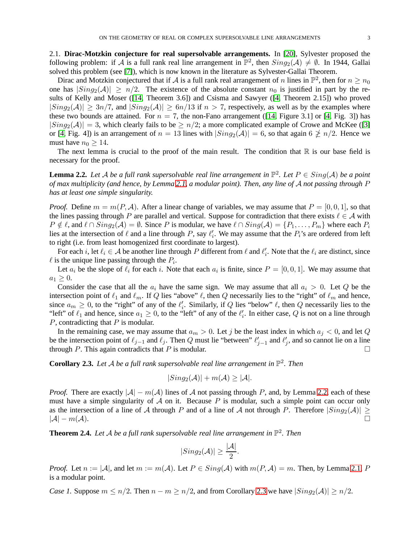2.1. **Dirac-Motzkin conjecture for real supersolvable arrangements.** In [\[20\]](#page-12-9), Sylvester proposed the following problem: if A is a full rank real line arrangement in  $\mathbb{P}^2$ , then  $Sing_2(\mathcal{A}) \neq \emptyset$ . In 1944, Gallai solved this problem (see [\[7\]](#page-12-10)), which is now known in the literature as Sylvester-Gallai Theorem.

Dirac and Motzkin conjectured that if A is a full rank real arrangement of n lines in  $\mathbb{P}^2$ , then for  $n \ge n_0$ one has  $|Sing_2(\mathcal{A})| \geq n/2$ . The existence of the absolute constant  $n_0$  is justified in part by the results of Kelly and Moser ([\[14,](#page-12-11) Theorem 3.6]) and Csisma and Sawyer ([\[4,](#page-12-12) Theorem 2.15]) who proved  $|Sing_2(A)| \geq 3n/7$ , and  $|Sing_2(A)| \geq 6n/13$  if  $n > 7$ , respectively, as well as by the examples where these two bounds are attained. For  $n = 7$ , the non-Fano arrangement ([\[14,](#page-12-11) Figure 3.1] or [\[4,](#page-12-12) Fig. 3]) has  $|Sing_2(A)| = 3$ , which clearly fails to be  $\geq n/2$ ; a more complicated example of Crowe and McKee ([\[3\]](#page-12-13) or [\[4,](#page-12-12) Fig. 4]) is an arrangement of  $n = 13$  lines with  $|Sing_2(\mathcal{A})| = 6$ , so that again  $6 \not\geq n/2$ . Hence we must have  $n_0 > 14$ .

The next lemma is crucial to the proof of the main result. The condition that  $\mathbb R$  is our base field is necessary for the proof.

<span id="page-2-1"></span>**Lemma 2.2.** Let A be a full rank supersolvable real line arrangement in  $\mathbb{P}^2$ . Let  $P \in Sing(\mathcal{A})$  be a point *of max multiplicity (and hence, by Lemma [2.1,](#page-1-0) a modular point). Then, any line of* A *not passing through* P *has at least one simple singularity.*

*Proof.* Define  $m = m(P, \mathcal{A})$ . After a linear change of variables, we may assume that  $P = [0, 0, 1]$ , so that the lines passing through P are parallel and vertical. Suppose for contradiction that there exists  $\ell \in A$  with  $P \notin \ell$ , and  $\ell \cap Sing_2(\mathcal{A}) = \emptyset$ . Since P is modular, we have  $\ell \cap Sing(\mathcal{A}) = \{P_1, \ldots, P_m\}$  where each  $P_i$ lies at the intersection of  $\ell$  and a line through P, say  $\ell'_i$ . We may assume that the  $P_i$ 's are ordered from left to right (i.e. from least homogenized first coordinate to largest).

For each i, let  $\ell_i \in A$  be another line through P different from  $\ell$  and  $\ell'_i$ . Note that the  $\ell_i$  are distinct, since  $\ell$  is the unique line passing through the  $P_i$ .

Let  $a_i$  be the slope of  $\ell_i$  for each i. Note that each  $a_i$  is finite, since  $P = [0, 0, 1]$ . We may assume that  $a_1 \geq 0$ .

Consider the case that all the  $a_i$  have the same sign. We may assume that all  $a_i > 0$ . Let Q be the intersection point of  $\ell_1$  and  $\ell_m$ . If Q lies "above"  $\ell$ , then Q necessarily lies to the "right" of  $\ell_m$  and hence, since  $a_m \geq 0$ , to the "right" of any of the  $\ell'_i$ . Similarly, if Q lies "below"  $\ell$ , then Q necessarily lies to the "left" of  $\ell_1$  and hence, since  $a_1 \ge 0$ , to the "left" of any of the  $\ell'_i$ . In either case, Q is not on a line through  $P$ , contradicting that  $P$  is modular.

In the remaining case, we may assume that  $a_m > 0$ . Let j be the least index in which  $a_j < 0$ , and let Q be the intersection point of  $\ell_{j-1}$  and  $\ell_j$ . Then Q must lie "between"  $\ell'_{j-1}$  and  $\ell'_j$ , and so cannot lie on a line through P. This again contradicts that P is modular.

<span id="page-2-2"></span>**Corollary 2.3.** Let A be a full rank supersolvable real line arrangement in  $\mathbb{P}^2$ . Then

$$
|Sing_2(\mathcal{A})| + m(\mathcal{A}) \geq |\mathcal{A}|.
$$

*Proof.* There are exactly  $|\mathcal{A}| - m(\mathcal{A})$  lines of A not passing through P, and, by Lemma [2.2,](#page-2-1) each of these must have a simple singularity of  $A$  on it. Because P is modular, such a simple point can occur only as the intersection of a line of A through P and of a line of A not through P. Therefore  $|Sing_2(\mathcal{A})| \geq |\mathcal{A}| - m(\mathcal{A})$ .  $|\mathcal{A}| - m(\mathcal{A}).$ 

<span id="page-2-0"></span>**Theorem 2.4.** Let A be a full rank supersolvable real line arrangement in  $\mathbb{P}^2$ . Then

$$
|Sing_2(\mathcal{A})| \ge \frac{|\mathcal{A}|}{2}.
$$

*Proof.* Let  $n := |A|$ , and let  $m := m(A)$ . Let  $P \in Sing(A)$  with  $m(P, A) = m$ . Then, by Lemma [2.1,](#page-1-0) P is a modular point.

*Case 1.* Suppose  $m \leq n/2$ . Then  $n - m \geq n/2$ , and from Corollary [2.3](#page-2-2) we have  $|Sing_2(\mathcal{A})| \geq n/2$ .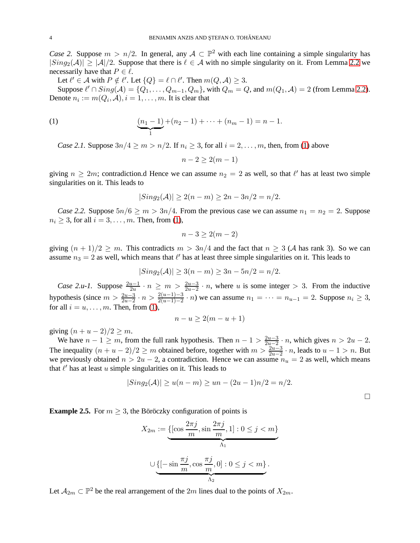*Case 2.* Suppose  $m > n/2$ . In general, any  $A \subset \mathbb{P}^2$  with each line containing a simple singularity has  $|Sing_2(A)| \geq |A|/2$ . Suppose that there is  $\ell \in A$  with no simple singularity on it. From Lemma [2.2](#page-2-1) we necessarily have that  $P \in \ell$ .

Let  $\ell' \in \mathcal{A}$  with  $P \notin \ell'$ . Let  $\{Q\} = \ell \cap \ell'$ . Then  $m(Q, \mathcal{A}) \geq 3$ .

Suppose  $\ell' \cap Sing(\mathcal{A}) = \{Q_1, \ldots, Q_{m-1}, Q_m\}$ , with  $Q_m = Q$ , and  $m(Q_1, \mathcal{A}) = 2$  (from Lemma [2.2\)](#page-2-1). Denote  $n_i := m(Q_i, \mathcal{A}), i = 1, \dots, m$ . It is clear that

(1) 
$$
\underbrace{(n_1-1)}_{1} + (n_2-1) + \cdots + (n_m-1) = n-1.
$$

*Case 2.1.* Suppose  $3n/4 \ge m > n/2$ . If  $n_i \ge 3$ , for all  $i = 2, \ldots, m$ , then, from [\(1\)](#page-3-0) above

<span id="page-3-0"></span>
$$
n-2 \ge 2(m-1)
$$

giving  $n \ge 2m$ ; contradiction.d Hence we can assume  $n_2 = 2$  as well, so that  $\ell'$  has at least two simple singularities on it. This leads to

$$
|Sing_2(\mathcal{A})| \ge 2(n-m) \ge 2n - 3n/2 = n/2.
$$

*Case 2.2.* Suppose  $5n/6 \ge m > 3n/4$ . From the previous case we can assume  $n_1 = n_2 = 2$ . Suppose  $n_i \geq 3$ , for all  $i = 3, \ldots, m$ . Then, from [\(1\)](#page-3-0),

$$
n-3 \ge 2(m-2)
$$

giving  $(n + 1)/2 \ge m$ . This contradicts  $m > 3n/4$  and the fact that  $n \ge 3$  (A has rank 3). So we can assume  $n_3 = 2$  as well, which means that  $\ell'$  has at least three simple singularities on it. This leads to

$$
|Sing_2(\mathcal{A})| \ge 3(n-m) \ge 3n - 5n/2 = n/2.
$$

*Case 2.u-1.* Suppose  $\frac{2u-1}{2u} \cdot n \ge m > \frac{2u-3}{2u-2} \cdot n$ , where u is some integer > 3. From the inductive hypothesis (since  $m > \frac{2u-3}{2u-2} \cdot n > \frac{2(u-1)-3}{2(u-1)-2} \cdot n$ ) we can assume  $n_1 = \cdots = n_{u-1} = 2$ . Suppose  $n_i \ge 3$ , for all  $i = u, \ldots, m$ . Then, from [\(1\)](#page-3-0),

$$
n - u \ge 2(m - u + 1)
$$

giving  $(n+u-2)/2 \geq m$ .

We have  $n - 1 \ge m$ , from the full rank hypothesis. Then  $n - 1 > \frac{2u-3}{2u-2}$  $\frac{2u-3}{2u-2}$  · *n*, which gives  $n > 2u - 2$ . The inequality  $(n + u - 2)/2 \ge m$  obtained before, together with  $m > \frac{2u-3}{2u-2} \cdot n$ , leads to  $u - 1 > n$ . But we previously obtained  $n > 2u - 2$ , a contradiction. Hence we can assume  $n_u = 2$  as well, which means that  $\ell'$  has at least  $u$  simple singularities on it. This leads to

$$
|Sing_2(\mathcal{A})| \ge u(n-m) \ge un - (2u-1)n/2 = n/2.
$$

 $\Box$ 

**Example 2.5.** For  $m \geq 3$ , the Böröczky configuration of points is

$$
X_{2m} := \underbrace{\{[\cos\frac{2\pi j}{m}, \sin\frac{2\pi j}{m}, 1] : 0 \le j < m\}}_{\Lambda_1}
$$
\n
$$
\cup \underbrace{\{[-\sin\frac{\pi j}{m}, \cos\frac{\pi j}{m}, 0] : 0 \le j < m\}}_{\Lambda_2}.
$$

Let  $A_{2m} \subset \mathbb{P}^2$  be the real arrangement of the  $2m$  lines dual to the points of  $X_{2m}$ .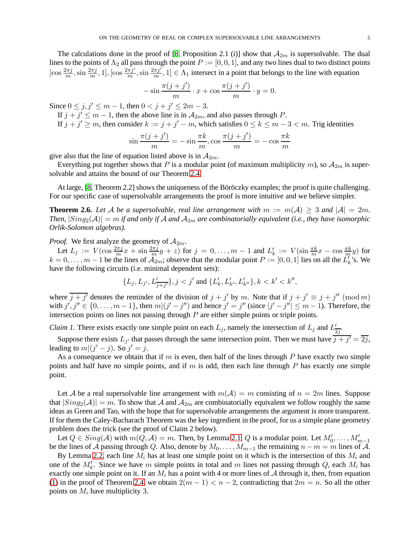The calculations done in the proof of [\[8,](#page-12-3) Proposition 2.1 (i)] show that  $A_{2m}$  is supersolvable. The dual lines to the points of  $\Lambda_2$  all pass through the point  $P := [0, 0, 1]$ , and any two lines dual to two distinct points  $[\cos \frac{2\pi j}{m}, \sin \frac{2\pi j}{m}, 1]$ ,  $[\cos \frac{2\pi j'}{m}, \sin \frac{2\pi j'}{m}, 1] \in \Lambda_1$  intersect in a point that belongs to the line with equation

$$
-\sin\frac{\pi(j+j')}{m}\cdot x + \cos\frac{\pi(j+j')}{m}\cdot y = 0.
$$

Since  $0 \le j, j' \le m - 1$ , then  $0 < j + j' \le 2m - 3$ .

- If  $j + j' \le m 1$ , then the above line is in  $A_{2m}$ , and also passes through P.
- If  $j + j' \ge m$ , then consider  $k := j + j' m$ , which satisfies  $0 \le k \le m 3 < m$ . Trig identities

$$
\sin\frac{\pi(j+j')}{m} = -\sin\frac{\pi k}{m}, \cos\frac{\pi(j+j')}{m} = -\cos\frac{\pi k}{m}
$$

give also that the line of equation listed above is in  $A_{2m}$ .

Everything put together shows that P is a modular point (of maximum multiplicity m), so  $A_{2m}$  is supersolvable and attains the bound of our Theorem [2.4.](#page-2-0)

At large, [\[8,](#page-12-3) Theorem 2.2] shows the uniqueness of the Böröczky examples; the proof is quite challenging. For our specific case of supersolvable arrangements the proof is more intuitive and we believe simpler.

<span id="page-4-0"></span>**Theorem 2.6.** Let A be a supersolvable, real line arrangement with  $m := m(A) \geq 3$  and  $|A| = 2m$ . *Then,*  $|Sing_2(\mathcal{A})| = m$  *if and only if*  $\mathcal{A}$  *and*  $\mathcal{A}_{2m}$  *are combinatorially equivalent (i.e., they have isomorphic Orlik-Solomon algebras).*

*Proof.* We first analyze the geometry of  $A_{2m}$ .

Let  $L_j := V(\cos \frac{2\pi j}{m}x + \sin \frac{2\pi j}{m}y + z)$  for  $j = 0, \ldots, m-1$  and  $L'_k := V(\sin \frac{\pi k}{m}x - \cos \frac{\pi k}{m}y)$  for  $k = 0, \ldots, m - 1$  be the lines of  $\mathcal{A}_{2m}$ ; observe that the modular point  $P := [0, 0, 1]$  lies on all the  $L'_{k}$ 's. We have the following circuits (i.e. minimal dependent sets):

$$
\{L_j, L_{j'}, L'_{\overline{j+j'}}\}, j < j' \text{ and } \{L'_k, L'_{k'}, L'_{k''}\}, k < k' < k'',
$$

where  $\overline{j+j'}$  denotes the reminder of the division of  $j + j'$  by m. Note that if  $j + j' \equiv j + j'' \pmod{m}$ with  $j', j'' \in \{0, \ldots, m-1\}$ , then  $m|(j'-j'')$  and hence  $j' = j''$  (since  $|j'-j''| \le m-1$ ). Therefore, the intersection points on lines not passing through  $P$  are either simple points or triple points.

*Claim 1.* There exists exactly one simple point on each  $L_j$ , namely the intersection of  $L_j$  and  $L'_i$  $rac{1}{2j}$ .

Suppose there exists  $L_{j'}$  that passes through the same intersection point. Then we must have  $\overline{j+j'} = \overline{2j}$ , leading to  $m|(j'-j)$ . So  $j'=j$ .

As a consequence we obtain that if  $m$  is even, then half of the lines through  $P$  have exactly two simple points and half have no simple points, and if  $m$  is odd, then each line through  $P$  has exactly one simple point.

Let A be a real supersolvable line arrangement with  $m(\mathcal{A}) = m$  consisting of  $n = 2m$  lines. Suppose that  $|Sing_2(\mathcal{A})| = m$ . To show that A and  $\mathcal{A}_{2m}$  are combinatorially equivalent we follow roughly the same ideas as Green and Tao, with the hope that for supersolvable arrangements the argument is more transparent. If for them the Caley-Bacharach Theorem was the key ingredient in the proof, for us a simple plane geometry problem does the trick (see the proof of Claim 2 below).

Let  $Q \in Sing(\mathcal{A})$  with  $m(Q, \mathcal{A}) = m$ . Then, by Lemma [2.1,](#page-1-0) Q is a modular point. Let  $M'_0, \ldots, M'_{m-1}$ be the lines of A passing through Q. Also, denote by  $M_0, \ldots, M_{m-1}$  the remaining  $n - m = m$  lines of A.

By Lemma [2.2,](#page-2-1) each line  $M_i$  has at least one simple point on it which is the intersection of this  $M_i$  and one of the  $M'_{k}$ . Since we have m simple points in total and m lines not passing through Q, each  $M_{i}$  has exactly one simple point on it. If an  $M_i$  has a point with 4 or more lines of A through it, then, from equation [\(1\)](#page-3-0) in the proof of Theorem [2.4,](#page-2-0) we obtain  $2(m - 1) < n - 2$ , contradicting that  $2m = n$ . So all the other points on  $M_i$  have multiplicity 3.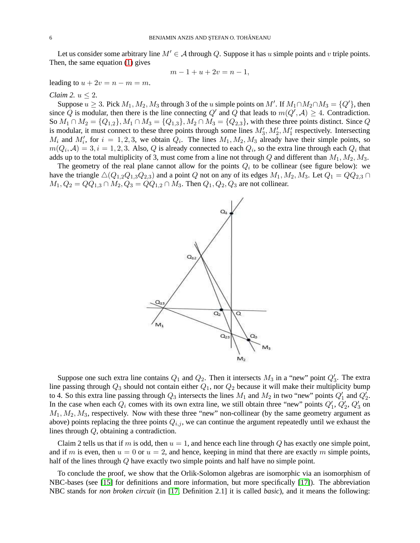Let us consider some arbitrary line  $M' \in \mathcal{A}$  through Q. Suppose it has u simple points and v triple points. Then, the same equation [\(1\)](#page-3-0) gives

$$
m - 1 + u + 2v = n - 1,
$$

leading to  $u + 2v = n - m = m$ .

#### *Claim 2.*  $u < 2$ .

Suppose  $u \ge 3$ . Pick  $M_1, M_2, M_3$  through 3 of the u simple points on  $M'$ . If  $M_1 \cap M_2 \cap M_3 = \{Q'\}$ , then since Q is modular, then there is the line connecting Q' and Q that leads to  $m(Q', A) \geq 4$ . Contradiction. So  $M_1 \cap M_2 = \{Q_{1,2}\}, M_1 \cap M_3 = \{Q_{1,3}\}, M_2 \cap M_3 = \{Q_{2,3}\},$  with these three points distinct. Since Q is modular, it must connect to these three points through some lines  $M'_3, M'_2, M'_1$  respectively. Intersecting  $M_i$  and  $M'_i$ , for  $i = 1, 2, 3$ , we obtain  $Q_i$ . The lines  $M_1, M_2, M_3$  already have their simple points, so  $m(Q_i, \mathcal{A}) = 3, i = 1, 2, 3$ . Also, Q is already connected to each  $Q_i$ , so the extra line through each  $Q_i$  that adds up to the total multiplicity of 3, must come from a line not through Q and different than  $M_1, M_2, M_3$ .

The geometry of the real plane cannot allow for the points  $Q_i$  to be collinear (see figure below): we have the triangle  $\triangle(Q_{1,2}Q_{1,3}Q_{2,3})$  and a point Q not on any of its edges  $M_1, M_2, M_3$ . Let  $Q_1 = QQ_{2,3} \cap$  $M_1, Q_2 = QQ_{1,3} \cap M_2, Q_3 = QQ_{1,2} \cap M_3$ . Then  $Q_1, Q_2, Q_3$  are not collinear.



Suppose one such extra line contains  $Q_1$  and  $Q_2$ . Then it intersects  $M_3$  in a "new" point  $Q'_3$ . The extra line passing through  $Q_3$  should not contain either  $Q_1$ , nor  $Q_2$  because it will make their multiplicity bump to 4. So this extra line passing through  $Q_3$  intersects the lines  $M_1$  and  $M_2$  in two "new" points  $Q'_1$  and  $Q'_2$ . In the case when each  $Q_i$  comes with its own extra line, we still obtain three "new" points  $Q'_1$ ,  $Q'_2$ ,  $Q'_3$  on  $M_1, M_2, M_3$ , respectively. Now with these three "new" non-collinear (by the same geometry argument as above) points replacing the three points  $Q_{i,j}$ , we can continue the argument repeatedly until we exhaust the lines through Q, obtaining a contradiction.

Claim 2 tells us that if m is odd, then  $u = 1$ , and hence each line through Q has exactly one simple point, and if m is even, then  $u = 0$  or  $u = 2$ , and hence, keeping in mind that there are exactly m simple points, half of the lines through Q have exactly two simple points and half have no simple point.

To conclude the proof, we show that the Orlik-Solomon algebras are isomorphic via an isomorphism of NBC-bases (see [\[15\]](#page-12-2) for definitions and more information, but more specifically [\[17\]](#page-12-14)). The abbreviation NBC stands for *non broken circuit* (in [\[17,](#page-12-14) Definition 2.1] it is called *basic*), and it means the following: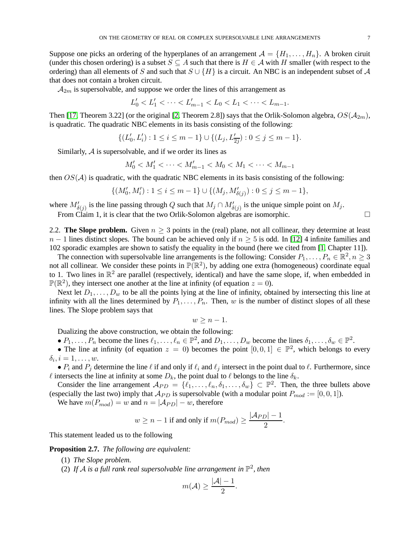Suppose one picks an ordering of the hyperplanes of an arrangement  $\mathcal{A} = \{H_1, \ldots, H_n\}$ . A broken ciruit (under this chosen ordering) is a subset  $S \subseteq A$  such that there is  $H \in A$  with H smaller (with respect to the ordering) than all elements of S and such that  $S \cup \{H\}$  is a circuit. An NBC is an independent subset of A that does not contain a broken circuit.

 $A_{2m}$  is supersolvable, and suppose we order the lines of this arrangement as

$$
L'_0 < L'_1 < \cdots < L'_{m-1} < L_0 < L_1 < \cdots < L_{m-1}.
$$

Then [\[17,](#page-12-14) Theorem 3.22] (or the original [\[2,](#page-12-15) Theorem 2.8]) says that the Orlik-Solomon algebra,  $OS(\mathcal{A}_{2m})$ , is quadratic. The quadratic NBC elements in its basis consisting of the following:

$$
\{(L_0',L_i'): 1\leq i\leq m-1\}\cup \{(L_j,L_{\overline{2j}}'): 0\leq j\leq m-1\}.
$$

Similarly, A is supersolvable, and if we order its lines as

$$
M'_0 < M'_1 < \cdots < M'_{m-1} < M_0 < M_1 < \cdots < M_{m-1}
$$

then  $OS(\mathcal{A})$  is quadratic, with the quadratic NBC elements in its basis consisting of the following:

$$
\{(M'_0, M'_i) : 1 \le i \le m - 1\} \cup \{(M_j, M'_{\delta(j)}) : 0 \le j \le m - 1\},\
$$

where  $M'_{\delta(j)}$  is the line passing through Q such that  $M_j \cap M'_{\delta(j)}$  is the unique simple point on  $M_j$ .

From Claim 1, it is clear that the two Orlik-Solomon algebras are isomorphic.  $\square$ 

2.2. **The Slope problem.** Given  $n \geq 3$  points in the (real) plane, not all collinear, they determine at least  $n-1$  lines distinct slopes. The bound can be achieved only if  $n \geq 5$  is odd. In [\[12\]](#page-12-16) 4 infinite families and 102 sporadic examples are shown to satisfy the equality in the bound (here we cited from [\[1,](#page-12-17) Chapter 11]).

The connection with supersolvable line arrangements is the following: Consider  $P_1, \ldots, P_n \in \mathbb{R}^2, n \geq 3$ not all collinear. We consider these points in  $\mathbb{P}(\mathbb{R}^2)$ , by adding one extra (homogeneous) coordinate equal to 1. Two lines in  $\mathbb{R}^2$  are parallel (respectively, identical) and have the same slope, if, when embedded in  $\mathbb{P}(\mathbb{R}^2)$ , they intersect one another at the line at infinity (of equation  $z = 0$ ).

Next let  $D_1, \ldots, D_w$  to be all the points lying at the line of infinity, obtained by intersecting this line at infinity with all the lines determined by  $P_1, \ldots, P_n$ . Then, w is the number of distinct slopes of all these lines. The Slope problem says that

 $w > n - 1$ .

Dualizing the above construction, we obtain the following:

•  $P_1, \ldots, P_n$  become the lines  $\ell_1, \ldots, \ell_n \in \mathbb{P}^2$ , and  $D_1, \ldots, D_w$  become the lines  $\delta_1, \ldots, \delta_w \in \mathbb{P}^2$ .

• The line at infinity (of equation  $z = 0$ ) becomes the point  $[0, 0, 1] \in \mathbb{P}^2$ , which belongs to every  $\delta_i, i = 1, \ldots, w.$ 

•  $P_i$  and  $P_j$  determine the line  $\ell$  if and only if  $\ell_i$  and  $\ell_j$  intersect in the point dual to  $\ell$ . Furthermore, since  $\ell$  intersects the line at infinity at some  $D_k$ , the point dual to  $\ell$  belongs to the line  $\delta_k$ .

Consider the line arrangement  $\mathcal{A}_{PD} = \{\ell_1, \ldots, \ell_n, \delta_1, \ldots, \delta_w\} \subset \mathbb{P}^2$ . Then, the three bullets above (especially the last two) imply that  $A_{PD}$  is supersolvable (with a modular point  $P_{mod} := [0, 0, 1]$ ).

We have  $m(P_{mod}) = w$  and  $n = |A_{PD}| - w$ , therefore

$$
w \ge n - 1
$$
 if and only if  $m(P_{mod}) \ge \frac{|\mathcal{A}_{PD}| - 1}{2}$ .

This statement leaded us to the following

<span id="page-6-0"></span>**Proposition 2.7.** *The following are equivalent:*

- (1) *The Slope problem.*
- (2) If A is a full rank real supersolvable line arrangement in  $\mathbb{P}^2$ , then

$$
m(\mathcal{A}) \geq \frac{|\mathcal{A}| - 1}{2}.
$$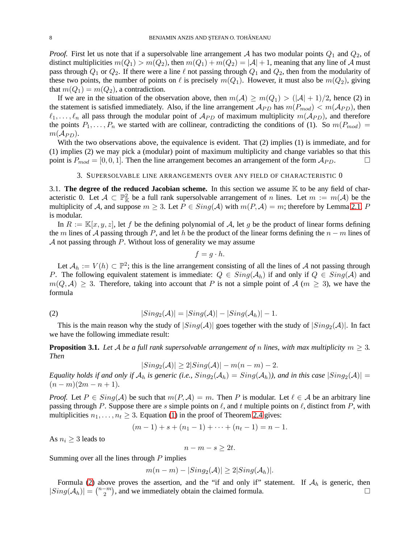*Proof.* First let us note that if a supersolvable line arrangement  $A$  has two modular points  $Q_1$  and  $Q_2$ , of distinct multiplicities  $m(Q_1) > m(Q_2)$ , then  $m(Q_1) + m(Q_2) = |\mathcal{A}| + 1$ , meaning that any line of A must pass through  $Q_1$  or  $Q_2$ . If there were a line  $\ell$  not passing through  $Q_1$  and  $Q_2$ , then from the modularity of these two points, the number of points on  $\ell$  is precisely  $m(Q_1)$ . However, it must also be  $m(Q_2)$ , giving that  $m(Q_1) = m(Q_2)$ , a contradiction.

If we are in the situation of the observation above, then  $m(\mathcal{A}) \geq m(Q_1) > (|\mathcal{A}| + 1)/2$ , hence (2) in the statement is satisfied immediately. Also, if the line arrangement  $A_{PD}$  has  $m(P_{mod}) < m(A_{PD})$ , then  $\ell_1, \ldots, \ell_n$  all pass through the modular point of  $\mathcal{A}_{PD}$  of maximum multiplicity  $m(\mathcal{A}_{PD})$ , and therefore the points  $P_1, \ldots, P_n$  we started with are collinear, contradicting the conditions of (1). So  $m(P_{mod})$  $m(A_{PD})$ .

With the two observations above, the equivalence is evident. That (2) implies (1) is immediate, and for (1) implies (2) we may pick a (modular) point of maximum multiplicity and change variables so that this point is  $P_{mod} = [0, 0, 1]$ . Then the line arrangement becomes an arrangement of the form  $A_{PD}$ .

#### 3. SUPERSOLVABLE LINE ARRANGEMENTS OVER ANY FIELD OF CHARACTERISTIC 0

3.1. **The degree of the reduced Jacobian scheme.** In this section we assume  $\mathbb{K}$  to be any field of characteristic 0. Let  $\mathcal{A} \subset \mathbb{P}^2_{\mathbb{K}}$  be a full rank supersolvable arrangement of n lines. Let  $m := m(\mathcal{A})$  be the multiplicity of A, and suppose  $m \geq 3$ . Let  $P \in Sing(\mathcal{A})$  with  $m(P, \mathcal{A}) = m$ ; therefore by Lemma [2.1,](#page-1-0) P is modular.

In  $R := \mathbb{K}[x, y, z]$ , let f be the defining polynomial of A, let g be the product of linear forms defining the m lines of A passing through P, and let h be the product of the linear forms defining the  $n - m$  lines of A not passing through  $P$ . Without loss of generality we may assume

$$
f=g\cdot h.
$$

Let  $\mathcal{A}_h := V(h) \subset \mathbb{P}^2$ ; this is the line arrangement consisting of all the lines of A not passing through P. The following equivalent statement is immediate:  $Q \in Sing(\mathcal{A}_h)$  if and only if  $Q \in Sing(\mathcal{A})$  and  $m(Q, A) > 3$ . Therefore, taking into account that P is not a simple point of A ( $m > 3$ ), we have the formula

(2) 
$$
|Sing_2(\mathcal{A})| = |Sing(\mathcal{A})| - |Sing(\mathcal{A}_h)| - 1.
$$

This is the main reason why the study of  $|Sing(\mathcal{A})|$  goes together with the study of  $|Sing_2(\mathcal{A})|$ . In fact we have the following immediate result:

<span id="page-7-0"></span>**Proposition 3.1.** Let A be a full rank supersolvable arrangement of n lines, with max multiplicity  $m \geq 3$ . *Then*

<span id="page-7-1"></span>
$$
|Sing_2(\mathcal{A})| \ge 2|Sing(\mathcal{A})| - m(n-m) - 2.
$$

*Equality holds if and only if*  $A_h$  *is generic (i.e.,*  $Sing_2(A_h) = Sing(A_h)$ *), and in this case*  $|Sing_2(A)| =$  $(n-m)(2m-n+1)$ .

*Proof.* Let  $P \in Sing(\mathcal{A})$  be such that  $m(P, \mathcal{A}) = m$ . Then P is modular. Let  $\ell \in \mathcal{A}$  be an arbitrary line passing through P. Suppose there are s simple points on  $\ell$ , and t multiple points on  $\ell$ , distinct from P, with multiplicities  $n_1, \ldots, n_t \geq 3$ . Equation [\(1\)](#page-3-0) in the proof of Theorem [2.4](#page-2-0) gives:

$$
(m-1) + s + (n_1 - 1) + \cdots + (n_t - 1) = n - 1.
$$

As  $n_i \geq 3$  leads to

$$
n - m - s \geq 2t.
$$

Summing over all the lines through  $P$  implies

$$
m(n-m) - |Sing_2(\mathcal{A})| \geq 2|Sing(\mathcal{A}_h)|.
$$

Formula [\(2\)](#page-7-1) above proves the assertion, and the "if and only if" statement. If  $\mathcal{A}_h$  is generic, then  $ing(\mathcal{A}_h)| = \binom{n-m}{0}$ , and we immediately obtain the claimed formula.  $|Sing(\mathcal{A}_h)| = \binom{n-m}{2}$  $\binom{-m}{2}$ , and we immediately obtain the claimed formula.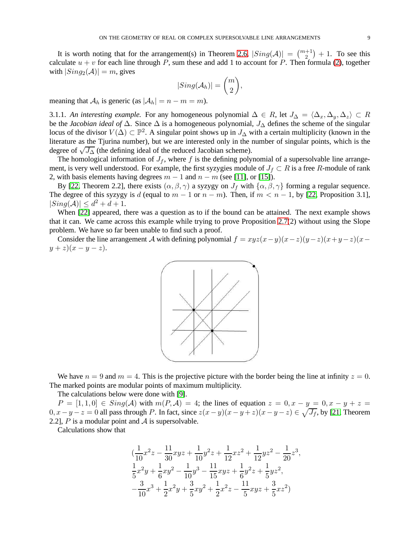It is worth noting that for the arrangement(s) in Theorem [2.6,](#page-4-0)  $|Sing(\mathcal{A})| = \binom{m+1}{2} + 1$ . To see this calculate  $u + v$  for each line through P, sum these and add 1 to account for P. Then formula [\(2\)](#page-7-1), together with  $|Sing_2(\mathcal{A})| = m$ , gives

$$
|Sing(\mathcal{A}_h)|=\binom{m}{2},
$$

meaning that  $A_h$  is generic (as  $|A_h| = n - m = m$ ).

3.1.1. *An interesting example*. For any homogeneous polynomial  $\Delta \in R$ , let  $J_{\Delta} = \langle \Delta_x, \Delta_y, \Delta_z \rangle \subset R$ be the *Jacobian ideal of* ∆. Since ∆ is a homogeneous polynomial, J<sup>∆</sup> defines the scheme of the singular locus of the divisor  $V(\Delta) \subset \mathbb{P}^2$ . A singular point shows up in  $J_{\Delta}$  with a certain multiplicity (known in the literature as the Tjurina number), but we are interested only in the number of singular points, which is the degree of  $\sqrt{J_{\Delta}}$  (the defining ideal of the reduced Jacobian scheme).

The homological information of  $J_f$ , where f is the defining polynomial of a supersolvable line arrangement, is very well understood. For example, the first syzygies module of  $J_f \subset R$  is a free R-module of rank 2, with basis elements having degrees  $m - 1$  and  $n - m$  (see [\[11\]](#page-12-1), or [\[15\]](#page-12-2)).

By [\[22,](#page-12-7) Theorem 2.2], there exists  $(\alpha, \beta, \gamma)$  a syzygy on  $J_f$  with  $\{\alpha, \beta, \gamma\}$  forming a regular sequence. The degree of this syzygy is d (equal to  $m - 1$  or  $n - m$ ). Then, if  $m < n - 1$ , by [\[22,](#page-12-7) Proposition 3.1],  $|Sing(\mathcal{A})| \leq d^2 + d + 1.$ 

When [\[22\]](#page-12-7) appeared, there was a question as to if the bound can be attained. The next example shows that it can. We came across this example while trying to prove Proposition [2.7\(](#page-6-0)2) without using the Slope problem. We have so far been unable to find such a proof.

Consider the line arrangement A with defining polynomial  $f = xyz(x-y)(x-z)(y-z)(x+y-z)(x-z)$  $y + z(x - y - z).$ 



We have  $n = 9$  and  $m = 4$ . This is the projective picture with the border being the line at infinity  $z = 0$ . The marked points are modular points of maximum multiplicity.

The calculations below were done with [\[9\]](#page-12-18).

 $P = [1, 1, 0] \in Sing(\mathcal{A})$  with  $m(P, \mathcal{A}) = 4$ ; the lines of equation  $z = 0, x - y = 0, x - y + z = 0$  $0, x-y-z=0$  all pass through P. In fact, since  $z(x-y)(x-y+z)(x-y-z) \in \sqrt{J_f}$ , by [\[21,](#page-12-8) Theorem 2.2], P is a modular point and  $\mathcal A$  is supersolvable.

Calculations show that

$$
(\frac{1}{10}x^2z - \frac{11}{30}xyz + \frac{1}{10}y^2z + \frac{1}{12}xz^2 + \frac{1}{12}yz^2 - \frac{1}{20}z^3,\frac{1}{5}x^2y + \frac{1}{6}xy^2 - \frac{1}{10}y^3 - \frac{11}{15}xyz + \frac{1}{6}y^2z + \frac{1}{5}yz^2,-\frac{3}{10}x^3 + \frac{1}{2}x^2y + \frac{3}{5}xy^2 + \frac{1}{2}x^2z - \frac{11}{5}xyz + \frac{3}{5}xz^2)
$$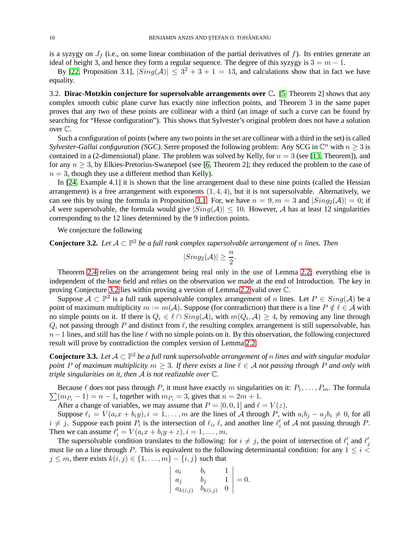is a syzygy on  $J_f$  (i.e., on some linear combination of the partial derivatives of f). Its entries generate an ideal of height 3, and hence they form a regular sequence. The degree of this syzygy is  $3 = m - 1$ .

By [\[22,](#page-12-7) Proposition 3.1],  $|Sing(\mathcal{A})| \leq 3^2 + 3 + 1 = 13$ , and calculations show that in fact we have equality.

3.2. **Dirac-Motzkin conjecture for supersolvable arrangements over** C**.** [\[5,](#page-12-19) Theorem 2] shows that any complex smooth cubic plane curve has exactly nine inflection points, and Theorem 3 in the same paper proves that any two of these points are collinear with a third (an image of such a curve can be found by searching for "Hesse configuration"). This shows that Sylvester's original problem does not have a solution over C.

Such a configuration of points (where any two points in the set are collinear with a third in the set) is called *Sylvester-Gallai configuration (SGC)*. Serre proposed the following problem: Any SCG in  $\mathbb{C}^n$  with  $n \geq 3$  is contained in a (2-dimensional) plane. The problem was solved by Kelly, for  $n = 3$  (see [\[13,](#page-12-20) Theorem]), and for any  $n \geq 3$ , by Elkies-Pretorius-Swanepoel (see [\[6,](#page-12-21) Theorem 2]; they reduced the problem to the case of  $n = 3$ , though they use a different method than Kelly).

In [\[24,](#page-12-22) Example 4.1] it is shown that the line arrangement dual to these nine points (called the Hessian arrangement) is a free arrangement with exponents  $(1, 4, 4)$ , but it is not supersolvable. Alternatively, we can see this by using the formula in Proposition [3.1.](#page-7-0) For, we have  $n = 9, m = 3$  and  $|Sing_2(\mathcal{A})| = 0$ ; if A were supersolvable, the formula would give  $|Sing(\mathcal{A})| \leq 10$ . However, A has at least 12 singularities corresponding to the 12 lines determined by the 9 inflection points.

We conjecture the following

<span id="page-9-0"></span>**Conjecture 3.2.** Let  $A \subset \mathbb{P}^2$  be a full rank complex supersolvable arrangement of n lines. Then

$$
|Sing_2(\mathcal{A})|\geq \frac{n}{2}.
$$

Theorem [2.4](#page-2-0) relies on the arrangement being real only in the use of Lemma [2.2;](#page-2-1) everything else is independent of the base field and relies on the observation we made at the end of Introduction. The key in proving Conjecture [3.2](#page-9-0) lies within proving a version of Lemma [2.2](#page-2-1) valid over C.

Suppose  $A \subset \mathbb{P}^2$  is a full rank supersolvable complex arrangement of n lines. Let  $P \in Sing(A)$  be a point of maximum multiplicity  $m := m(\mathcal{A})$ . Suppose (for contradiction) that there is a line  $P \notin \ell \in \mathcal{A}$  with no simple points on it. If there is  $Q_i \in \ell \cap Sing(\mathcal{A})$ , with  $m(Q_i, \mathcal{A}) \geq 4$ , by removing any line through  $Q_i$  not passing through P and distinct from  $\ell$ , the resulting complex arrangement is still supersolvable, has  $n-1$  lines, and still has the line  $\ell$  with no simple points on it. By this observation, the following conjectured result will prove by contradiction the complex version of Lemma [2.2.](#page-2-1)

<span id="page-9-1"></span>**Conjecture 3.3.** Let  $A \subset \mathbb{P}^2$  be a full rank supersolvable arrangement of n lines and with singular modular *point* P of maximum multiplicity  $m \geq 3$ . If there exists a line  $\ell \in A$  not passing through P and only with *triple singularities on it, then* A *is not realizable over* C*.*

 $\sum (m_{P_i} - 1) = n - 1$ , together with  $m_{P_i} = 3$ , gives that  $n = 2m + 1$ . Because  $\ell$  does not pass through P, it must have exactly m singularities on it:  $P_1, \ldots, P_m$ . The formula

After a change of variables, we may assume that  $P = [0, 0, 1]$  and  $\ell = V(z)$ .

Suppose  $\ell_i = V(a_i x + b_i y), i = 1, \ldots, m$  are the lines of A through P, with  $a_i b_j - a_j b_i \neq 0$ , for all  $i \neq j$ . Suppose each point  $P_i$  is the intersection of  $\ell_i$ ,  $\ell$ , and another line  $\ell'_i$  of A not passing through P. Then we can assume  $\ell'_i = V(a_i x + b_i y + z), i = 1, \dots, m$ .

The supersolvable condition translates to the following: for  $i \neq j$ , the point of intersection of  $\ell'_i$  and  $\ell'_j$ must lie on a line through P. This is equivalent to the following determinantal condition: for any  $1 \leq i \leq$  $j \leq m$ , there exists  $k(i, j) \in \{1, \ldots, m\} - \{i, j\}$  such that

$$
\begin{vmatrix} a_i & b_i & 1 \ a_j & b_j & 1 \ a_k(i,j) & b_k(i,j) & 0 \end{vmatrix} = 0.
$$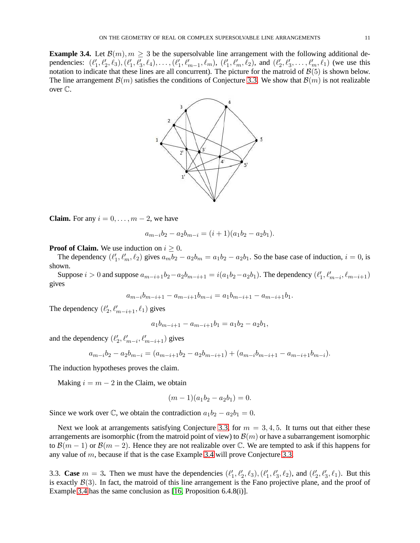<span id="page-10-0"></span>**Example 3.4.** Let  $\mathcal{B}(m), m \geq 3$  be the supersolvable line arrangement with the following additional dependencies:  $(\ell'_1, \ell'_2, \ell_3), (\ell'_1, \ell'_3, \ell_4), \ldots, (\ell'_1, \ell'_{m-1}, \ell_m), (\ell'_1, \ell'_m, \ell_2),$  and  $(\ell'_2, \ell'_3, \ldots, \ell'_m, \ell_1)$  (we use this notation to indicate that these lines are all concurrent). The picture for the matroid of  $\mathcal{B}(5)$  is shown below. The line arrangement  $\mathcal{B}(m)$  satisfies the conditions of Conjecture [3.3.](#page-9-1) We show that  $\mathcal{B}(m)$  is not realizable over C.



**Claim.** For any  $i = 0, \ldots, m-2$ , we have

$$
a_{m-i}b_2 - a_2b_{m-i} = (i+1)(a_1b_2 - a_2b_1).
$$

## **Proof of Claim.** We use induction on  $i \geq 0$ .

The dependency  $(\ell'_1, \ell'_m, \ell_2)$  gives  $a_m b_2 - a_2 b_m = a_1 b_2 - a_2 b_1$ . So the base case of induction,  $i = 0$ , is shown.

Suppose  $i > 0$  and suppose  $a_{m-i+1}b_2 - a_2b_{m-i+1} = i(a_1b_2 - a_2b_1)$ . The dependency  $(\ell'_1, \ell'_{m-i}, \ell_{m-i+1})$ gives

$$
a_{m-i}b_{m-i+1} - a_{m-i+1}b_{m-i} = a_1b_{m-i+1} - a_{m-i+1}b_1.
$$

The dependency  $(\ell'_2, \ell'_{m-i+1}, \ell_1)$  gives

$$
a_1b_{m-i+1} - a_{m-i+1}b_1 = a_1b_2 - a_2b_1,
$$

and the dependency  $(\ell'_2, \ell'_{m-i}, \ell'_{m-i+1})$  gives

$$
a_{m-i}b_2 - a_2b_{m-i} = (a_{m-i+1}b_2 - a_2b_{m-i+1}) + (a_{m-i}b_{m-i+1} - a_{m-i+1}b_{m-i}).
$$

The induction hypotheses proves the claim.

Making  $i = m - 2$  in the Claim, we obtain

$$
(m-1)(a_1b_2 - a_2b_1) = 0.
$$

Since we work over  $\mathbb{C}$ , we obtain the contradiction  $a_1b_2 - a_2b_1 = 0$ .

Next we look at arrangements satisfying Conjecture [3.3,](#page-9-1) for  $m = 3, 4, 5$ . It turns out that either these arrangements are isomorphic (from the matroid point of view) to  $\mathcal{B}(m)$  or have a subarrangement isomorphic to  $\mathcal{B}(m-1)$  or  $\mathcal{B}(m-2)$ . Hence they are not realizable over C. We are tempted to ask if this happens for any value of  $m$ , because if that is the case Example [3.4](#page-10-0) will prove Conjecture [3.3.](#page-9-1)

3.3. **Case**  $m = 3$ . Then we must have the dependencies  $(\ell'_1, \ell'_2, \ell_3), (\ell'_1, \ell'_3, \ell_2)$ , and  $(\ell'_2, \ell'_3, \ell_1)$ . But this is exactly  $\mathcal{B}(3)$ . In fact, the matroid of this line arrangement is the Fano projective plane, and the proof of Example [3.4](#page-10-0) has the same conclusion as [\[16,](#page-12-23) Proposition 6.4.8(i)].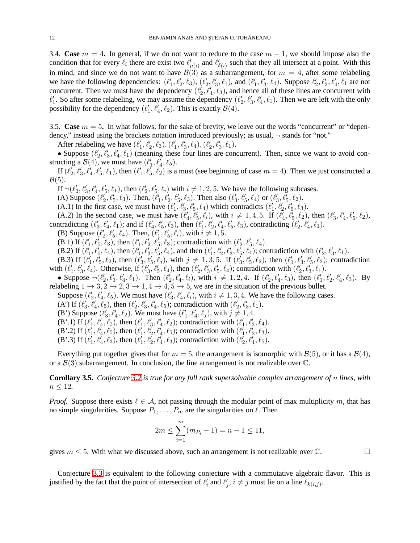3.4. **Case**  $m = 4$ . In general, if we do not want to reduce to the case  $m - 1$ , we should impose also the condition that for every  $\ell_i$  there are exist two  $\ell'_{\mu(i)}$  and  $\ell'_{\delta(i)}$  such that they all intersect at a point. With this in mind, and since we do not want to have  $\mathcal{B}(3)$  as a subarrangement, for  $m = 4$ , after some relabeling we have the following dependencies:  $(\ell'_1, \ell'_2, \ell_3), (\ell'_2, \ell'_3, \ell_1)$ , and  $(\ell'_1, \ell'_3, \ell_4)$ . Suppose  $\ell'_2, \ell'_3, \ell'_4, \ell_1$  are not concurrent. Then we must have the dependency  $(\ell'_2, \ell'_4, \ell_3)$ , and hence all of these lines are concurrent with  $\ell'_1$ . So after some relabeling, we may assume the dependency  $(\ell'_2, \ell'_3, \ell'_4, \ell_1)$ . Then we are left with the only possibility for the dependency  $(\ell'_1, \ell'_4, \ell_2)$ . This is exactly  $\mathcal{B}(4)$ .

3.5. **Case**  $m = 5$ . In what follows, for the sake of brevity, we leave out the words "concurrent" or "dependency," instead using the brackets notation introduced previously; as usual, ¬ stands for "not."

After relabeling we have  $(\ell'_1, \ell'_2, \ell_3), (\ell'_1, \ell'_3, \ell_4), (\ell'_2, \ell'_3, \ell_1)$ .

• Suppose  $(\ell'_2, \ell'_3, \ell'_4, \ell_1)$  (meaning these four lines are concurrent). Then, since we want to avoid constructing a  $\mathcal{B}(4)$ , we must have  $(\ell'_1, \ell'_4, \ell_5)$ .

If  $(\ell_2', \ell_3', \ell_4', \ell_5', \ell_1)$ , then  $(\ell_1', \ell_5', \ell_2)$  is a must (see beginning of case  $m = 4$ ). Then we just constructed a  $\mathcal{B}(5)$ .

If  $\neg(\ell'_2, \ell'_3, \ell'_4, \ell'_5, \ell_1)$ , then  $(\ell'_2, \ell'_5, \ell_i)$  with  $i \neq 1, 2, 5$ . We have the following subcases.

(A) Suppose  $(\ell'_2, \ell'_5, \ell_3)$ . Then,  $(\ell'_1, \ell'_2, \ell'_5, \ell_3)$ . Then also  $(\ell'_3, \ell'_5, \ell_4)$  or  $(\ell'_3, \ell'_5, \ell_2)$ .

(A.1) In the first case, we must have  $(\ell'_1, \ell'_3, \ell'_5, \ell_4)$  which contradicts  $(\ell'_1, \ell'_2, \ell'_5, \ell_3)$ .

(A.2) In the second case, we must have  $(\ell'_4, \ell'_5, \ell_i)$ , with  $i \neq 1, 4, 5$ . If  $(\ell'_4, \ell'_5, \ell_2)$ , then  $(\ell'_3, \ell'_4, \ell'_5, \ell_2)$ , contradicting  $(\ell'_3, \ell'_4, \ell_1)$ ; and if  $(\ell'_4, \ell'_5, \ell_3)$ , then  $(\ell'_1, \ell'_2, \ell'_4, \ell'_5, \ell_3)$ , contradicting  $(\ell'_2, \ell'_4, \ell_1)$ .

(B) Suppose 
$$
(\ell'_2, \ell'_5, \ell_4)
$$
. Then,  $(\ell'_1, \ell'_5, \ell_i)$ , with  $i \neq 1, 5$ .

(B.1) If  $(\ell'_1, \ell'_5, \ell_3)$ , then  $(\ell'_1, \ell'_2, \ell'_5, \ell_3)$ ; contradiction with  $(\ell'_2, \ell'_5, \ell_4)$ .

(B.2) If  $(\ell_1^{\bar{i}}, \ell_5^{\bar{i}}, \ell_4)$ , then  $(\ell_1^{\bar{i}}, \ell_3^{\bar{i}}, \ell_5^{\bar{i}}, \ell_4)$ , and then  $(\ell_1^{\prime}, \ell_2^{\prime}, \ell_3^{\prime}, \ell_5^{\bar{i}}, \ell_4)$ ; contradiction with  $(\ell_2^{\prime}, \ell_3^{\prime}, \ell_1)$ .

(B.3) If  $(\ell'_1, \ell'_5, \ell_2)$ , then  $(\ell'_3, \ell'_5, \ell_j)$ , with  $j \neq 1, 3, 5$ . If  $(\ell'_3, \ell'_5, \ell_2)$ , then  $(\ell'_1, \ell'_3, \ell'_5, \ell_2)$ ; contradiction (**B.3)** II ( $\ell_1, \ell_5, \ell_2$ ), then ( $\ell_3, \ell_5, \ell_5$ ), with  $j \neq 1, 3, 3$ . II ( $\ell_3, \ell_5, \ell_2$ ), then  $(\ell_1, \ell_3, \ell_5, \ell_2)$  with  $(\ell'_1, \ell'_3, \ell'_4)$ . Otherwise, if ( $\ell'_3, \ell'_5, \ell_4$ ), then ( $\ell'_2, \ell'_3, \ell'_5, \ell_4$ ); contr

• Suppose  $\neg(\ell'_2, \ell'_3, \ell'_4, \ell_1)$ . Then  $(\ell'_2, \ell'_4, \ell_1)$ , with  $i \neq 1, 2, 4$ . If  $(\ell'_2, \ell'_4, \ell_3)$ , then  $(\ell'_1, \ell'_2, \ell'_4, \ell_3)$ . By relabeling  $1 \rightarrow 3, 2 \rightarrow 2, 3 \rightarrow 1, 4 \rightarrow 4, 5 \rightarrow 5$ , we are in the situation of the previous bullet.

Suppose  $(\ell'_2, \ell'_4, \ell_5)$ . We must have  $(\ell'_3, \ell'_4, \ell_i)$ , with  $i \neq 1, 3, 4$ . We have the following cases.

(A') If  $(\ell'_3, \ell'_4, \ell_5)$ , then  $(\ell'_2, \ell'_3, \ell'_4, \ell_5)$ ; contradiction with  $(\ell'_2, \ell'_3, \ell_1)$ .

(B') Suppose  $(\ell'_3, \ell'_4, \ell_2)$ . We must have  $(\ell'_1, \ell'_4, \ell_j)$ , with  $j \neq 1, 4$ .

(B'.1) If  $(\ell'_1, \ell'_4, \ell_2)$ , then  $(\ell'_1, \ell'_3, \ell'_4, \ell_2)$ ; contradiction with  $(\ell'_1, \ell'_3, \ell_4)$ .

(B'.2) If 
$$
(\ell'_1, \ell'_4, \ell_5)
$$
, then  $(\ell'_1, \ell'_2, \ell'_4, \ell_5)$ ; contradiction with  $(\ell'_1, \ell'_2, \ell_3)$ .

(B'.3) If  $(\ell'_1, \ell'_4, \ell_3)$ , then  $(\ell'_1, \ell'_2, \ell'_4, \ell_3)$ ; contradiction with  $(\ell'_2, \ell'_4, \ell_5)$ .

Everything put together gives that for  $m = 5$ , the arrangement is isomorphic with  $\mathcal{B}(5)$ , or it has a  $\mathcal{B}(4)$ , or a  $\mathcal{B}(3)$  subarrangement. In conclusion, the line arrangement is not realizable over  $\mathbb{C}$ .

**Corollary 3.5.** *Conjecture [3.2](#page-9-0) is true for any full rank supersolvable complex arrangement of* n *lines, with*  $n \leq 12$ .

*Proof.* Suppose there exists  $\ell \in A$ , not passing through the modular point of max multiplicity m, that has no simple singularities. Suppose  $P_1, \ldots, P_m$  are the singularities on  $\ell$ . Then

$$
2m \le \sum_{i=1}^{m} (m_{P_i} - 1) = n - 1 \le 11,
$$

gives  $m \leq 5$ . With what we discussed above, such an arrangement is not realizable over  $\mathbb{C}$ .

Conjecture [3.3](#page-9-1) is equivalent to the following conjecture with a commutative algebraic flavor. This is justified by the fact that the point of intersection of  $\ell'_i$  and  $\ell'_j$ ,  $i \neq j$  must lie on a line  $\ell_{k(i,j)}$ .